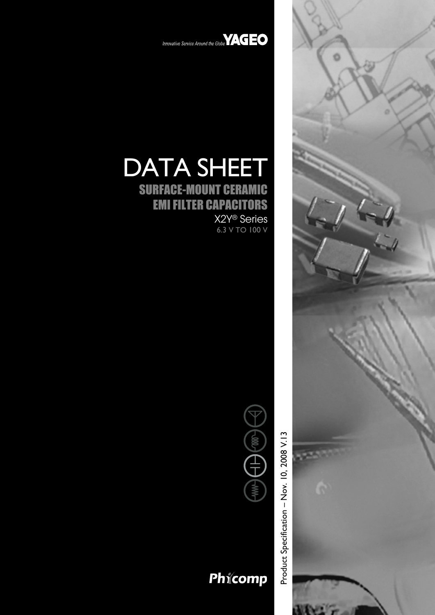

Innovative Service Around the Globe<sup>VAGEO</sup>

# DATA SHEET

SURFACE-MOUNT CERAMIC EMI FILTER CAPACITORS

X2Y® Series 6.3 V TO 100 V



# Phicomp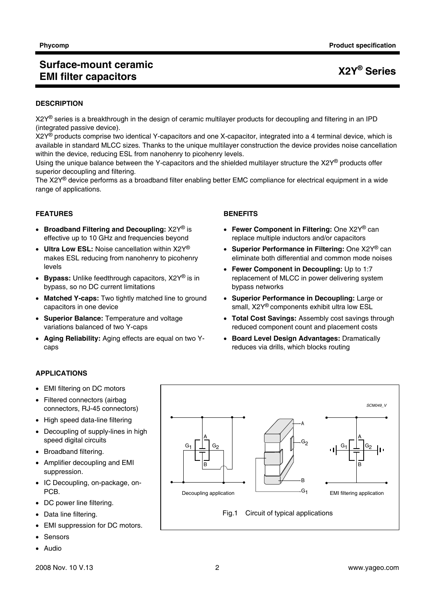#### **Phycomp Phycomp Product specification**

## **Surface-mount ceramic EMI filter capacitors X2Y® Series**

#### **DESCRIPTION**

X2Y<sup>®</sup> series is a breakthrough in the design of ceramic multilayer products for decoupling and filtering in an IPD (integrated passive device).

X2Y<sup>®</sup> products comprise two identical Y-capacitors and one X-capacitor, integrated into a 4 terminal device, which is available in standard MLCC sizes. Thanks to the unique multilayer construction the device provides noise cancellation within the device, reducing ESL from nanohenry to picohenry levels.

Using the unique balance between the Y-capacitors and the shielded multilayer structure the X2Y® products offer superior decoupling and filtering.

The  $X2Y^{\circledcirc}$  device performs as a broadband filter enabling better EMC compliance for electrical equipment in a wide range of applications.

#### **FEATURES**

- **Broadband Filtering and Decoupling:** X2Y® is effective up to 10 GHz and frequencies beyond
- **Ultra Low ESL:** Noise cancellation within X2Y® makes ESL reducing from nanohenry to picohenry levels
- **Bypass:** Unlike feedthrough capacitors, X2Y® is in bypass, so no DC current limitations
- **Matched Y-caps:** Two tightly matched line to ground capacitors in one device
- **Superior Balance:** Temperature and voltage variations balanced of two Y-caps
- **Aging Reliability:** Aging effects are equal on two Ycaps

#### **BENEFITS**

- **Fewer Component in Filtering:** One X2Y® can replace multiple inductors and/or capacitors
- **Superior Performance in Filtering:** One X2Y® can eliminate both differential and common mode noises
- **Fewer Component in Decoupling:** Up to 1:7 replacement of MLCC in power delivering system bypass networks
- **Superior Performance in Decoupling:** Large or small, X2Y® components exhibit ultra low ESL
- **Total Cost Savings:** Assembly cost savings through reduced component count and placement costs
- **Board Level Design Advantages:** Dramatically reduces via drills, which blocks routing

#### **APPLICATIONS**

- EMI filtering on DC motors
- Filtered connectors (airbag connectors, RJ-45 connectors)
- High speed data-line filtering
- Decoupling of supply-lines in high speed digital circuits
- Broadband filtering.
- Amplifier decoupling and EMI suppression.
- IC Decoupling, on-package, on-PCB.
- DC power line filtering.
- Data line filtering.
- EMI suppression for DC motors.
- Sensors
- Audio



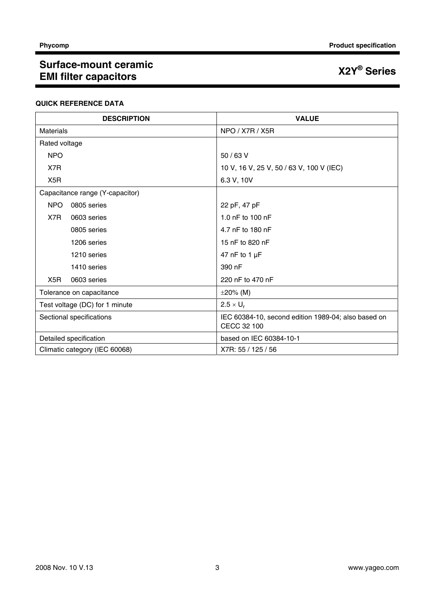#### **Phycomp** Product specification

# **Surface-mount ceramic EMI filter capacitors X2Y® Series**

#### **QUICK REFERENCE DATA**

| <b>DESCRIPTION</b>              | <b>VALUE</b>                                                       |  |  |
|---------------------------------|--------------------------------------------------------------------|--|--|
| <b>Materials</b>                | NPO / X7R / X5R                                                    |  |  |
| Rated voltage                   |                                                                    |  |  |
| <b>NPO</b>                      | $50/63$ V                                                          |  |  |
| X7R                             | 10 V, 16 V, 25 V, 50 / 63 V, 100 V (IEC)                           |  |  |
| X <sub>5</sub> R                | 6.3 V, 10V                                                         |  |  |
| Capacitance range (Y-capacitor) |                                                                    |  |  |
| <b>NPO</b><br>0805 series       | 22 pF, 47 pF                                                       |  |  |
| X7R<br>0603 series              | 1.0 nF to 100 nF                                                   |  |  |
| 0805 series                     | 4.7 nF to 180 nF                                                   |  |  |
| 1206 series                     | 15 nF to 820 nF                                                    |  |  |
| 1210 series                     | 47 nF to 1 $\mu$ F                                                 |  |  |
| 1410 series                     | 390 nF                                                             |  |  |
| X5R<br>0603 series              | 220 nF to 470 nF                                                   |  |  |
| Tolerance on capacitance        | $\pm 20\%$ (M)                                                     |  |  |
| Test voltage (DC) for 1 minute  | $2.5 \times U_r$                                                   |  |  |
| Sectional specifications        | IEC 60384-10, second edition 1989-04; also based on<br>CECC 32 100 |  |  |
| Detailed specification          | based on IEC 60384-10-1                                            |  |  |
| Climatic category (IEC 60068)   | X7R: 55 / 125 / 56                                                 |  |  |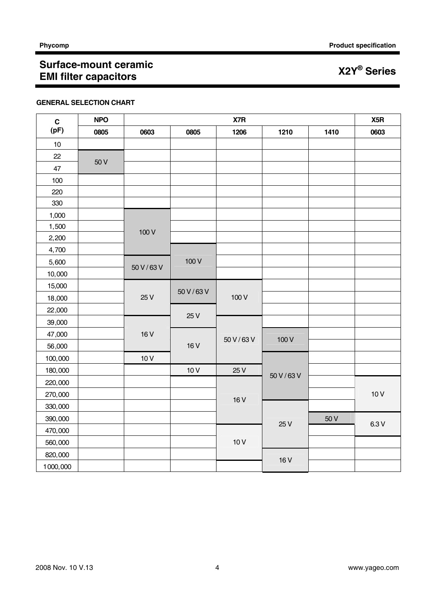### **GENERAL SELECTION CHART**

| $\mathbf C$ | <b>NPO</b> |             | X5R         |                 |             |      |       |
|-------------|------------|-------------|-------------|-----------------|-------------|------|-------|
| (pF)        | 0805       | 0603        | 0805        | 1206            | 1210        | 1410 | 0603  |
| $10$        |            |             |             |                 |             |      |       |
| 22          | 50 V       |             |             |                 |             |      |       |
| $47\,$      |            |             |             |                 |             |      |       |
| 100         |            |             |             |                 |             |      |       |
| 220         |            |             |             |                 |             |      |       |
| 330         |            |             |             |                 |             |      |       |
| 1,000       |            |             |             |                 |             |      |       |
| 1,500       |            | 100 V       |             |                 |             |      |       |
| 2,200       |            |             |             |                 |             |      |       |
| 4,700       |            |             |             |                 |             |      |       |
| 5,600       |            | 50 V / 63 V | 100V        |                 |             |      |       |
| 10,000      |            |             |             |                 |             |      |       |
| 15,000      |            |             |             | 100 V           |             |      |       |
| 18,000      |            | 25 V        | 50 V / 63 V |                 |             |      |       |
| 22,000      |            |             |             |                 |             |      |       |
| 39,000      |            |             | 25 V        |                 |             |      |       |
| 47,000      |            | 16 V        |             | 50 V / 63 V     | 100 V       |      |       |
| 56,000      |            |             | 16 V        |                 |             |      |       |
| 100,000     |            | 10V         |             |                 |             |      |       |
| 180,000     |            |             | 10V         | 25 V            |             |      |       |
| 220,000     |            |             |             |                 | 50 V / 63 V |      |       |
| 270,000     |            |             |             |                 |             |      | 10V   |
| 330,000     |            |             |             | 16 <sub>V</sub> |             |      |       |
| 390,000     |            |             |             |                 |             | 50 V |       |
| 470,000     |            |             |             |                 | 25 V        |      | 6.3 V |
| 560,000     |            |             |             | 10V             |             |      |       |
| 820,000     |            |             |             |                 |             |      |       |
| 1000,000    |            |             |             |                 | 16 V        |      |       |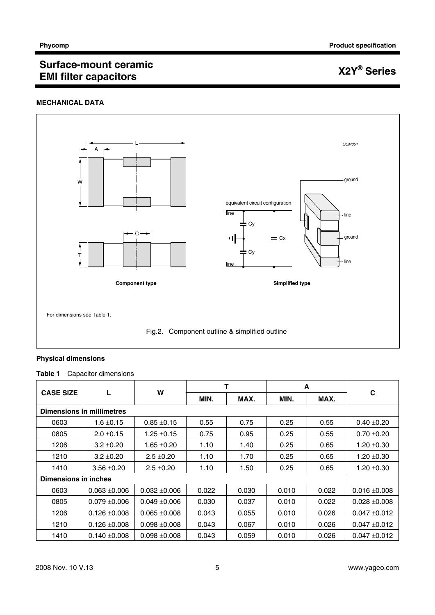### **MECHANICAL DATA**



#### **Physical dimensions**

### **Table 1** Capacitor dimensions

|                      |                           | W               |       |       | A     |       |                   |  |  |
|----------------------|---------------------------|-----------------|-------|-------|-------|-------|-------------------|--|--|
| <b>CASE SIZE</b>     |                           |                 | MIN.  | MAX.  | MIN.  | MAX.  | C                 |  |  |
|                      | Dimensions in millimetres |                 |       |       |       |       |                   |  |  |
| 0603                 | $1.6 \pm 0.15$            | $0.85 \pm 0.15$ | 0.55  | 0.75  | 0.25  | 0.55  | $0.40 + 0.20$     |  |  |
| 0805                 | $2.0 \pm 0.15$            | $1.25 \pm 0.15$ | 0.75  | 0.95  | 0.25  | 0.55  | $0.70 + 0.20$     |  |  |
| 1206                 | $3.2 + 0.20$              | $1.65 + 0.20$   | 1.10  | 1.40  | 0.25  | 0.65  | $1.20 \pm 0.30$   |  |  |
| 1210                 | $3.2 \pm 0.20$            | $2.5 \pm 0.20$  | 1.10  | 1.70  | 0.25  | 0.65  | $1.20 \pm 0.30$   |  |  |
| 1410                 | $3.56 + 0.20$             | $2.5 \pm 0.20$  | 1.10  | 1.50  | 0.25  | 0.65  | $1.20 \pm 0.30$   |  |  |
| Dimensions in inches |                           |                 |       |       |       |       |                   |  |  |
| 0603                 | $0.063 + 0.006$           | $0.032 + 0.006$ | 0.022 | 0.030 | 0.010 | 0.022 | $0.016 \pm 0.008$ |  |  |
| 0805                 | $0.079 + 0.006$           | $0.049 + 0.006$ | 0.030 | 0.037 | 0.010 | 0.022 | $0.028 + 0.008$   |  |  |
| 1206                 | $0.126 \pm 0.008$         | $0.065 + 0.008$ | 0.043 | 0.055 | 0.010 | 0.026 | $0.047 + 0.012$   |  |  |
| 1210                 | $0.126 \pm 0.008$         | $0.098 + 0.008$ | 0.043 | 0.067 | 0.010 | 0.026 | $0.047 + 0.012$   |  |  |
| 1410                 | $0.140 + 0.008$           | $0.098 + 0.008$ | 0.043 | 0.059 | 0.010 | 0.026 | $0.047 + 0.012$   |  |  |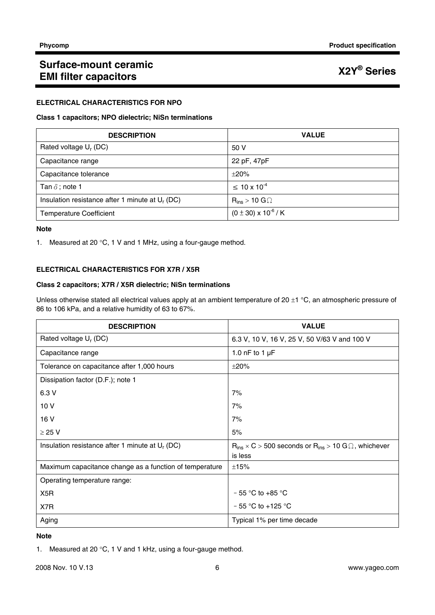#### **ELECTRICAL CHARACTERISTICS FOR NPO**

#### **Class 1 capacitors; NPO dielectric; NiSn terminations**

| <b>DESCRIPTION</b>                                          | <b>VALUE</b>                    |
|-------------------------------------------------------------|---------------------------------|
| Rated voltage U <sub>r</sub> (DC)                           | 50 V                            |
| Capacitance range                                           | 22 pF, 47pF                     |
| Capacitance tolerance                                       | $\pm 20\%$                      |
| Tan $\delta$ ; note 1                                       | $\leq 10 \times 10^{-4}$        |
| Insulation resistance after 1 minute at U <sub>r</sub> (DC) | $R_{ins}$ > 10 G $\Omega$       |
| <b>Temperature Coefficient</b>                              | $(0 \pm 30) \times 10^{-6}$ / K |

#### **Note**

1. Measured at 20 °C, 1 V and 1 MHz, using a four-gauge method.

### **ELECTRICAL CHARACTERISTICS FOR X7R / X5R**

#### **Class 2 capacitors; X7R / X5R dielectric; NiSn terminations**

Unless otherwise stated all electrical values apply at an ambient temperature of 20  $\pm$ 1 °C, an atmospheric pressure of 86 to 106 kPa, and a relative humidity of 63 to 67%.

| <b>DESCRIPTION</b>                                      | <b>VALUE</b>                                                         |
|---------------------------------------------------------|----------------------------------------------------------------------|
| Rated voltage U <sub>r</sub> (DC)                       | 6.3 V, 10 V, 16 V, 25 V, 50 V/63 V and 100 V                         |
| Capacitance range                                       | 1.0 nF to 1 $\mu$ F                                                  |
| Tolerance on capacitance after 1,000 hours              | $\pm 20\%$                                                           |
| Dissipation factor (D.F.); note 1                       |                                                                      |
| 6.3 V                                                   | 7%                                                                   |
| 10 V                                                    | 7%                                                                   |
| 16 V                                                    | 7%                                                                   |
| $\geq$ 25 V                                             | 5%                                                                   |
| Insulation resistance after 1 minute at $U_r$ (DC)      | $R_{ins}$ × C > 500 seconds or $R_{ins}$ > 10 G $\Omega$ , whichever |
|                                                         | is less                                                              |
| Maximum capacitance change as a function of temperature | ±15%                                                                 |
| Operating temperature range:                            |                                                                      |
| X <sub>5</sub> R                                        | $-55$ °C to +85 °C                                                   |
| X7R                                                     | $-55$ °C to +125 °C                                                  |
| Aging                                                   | Typical 1% per time decade                                           |

#### **Note**

1. Measured at 20 °C, 1 V and 1 kHz, using a four-gauge method.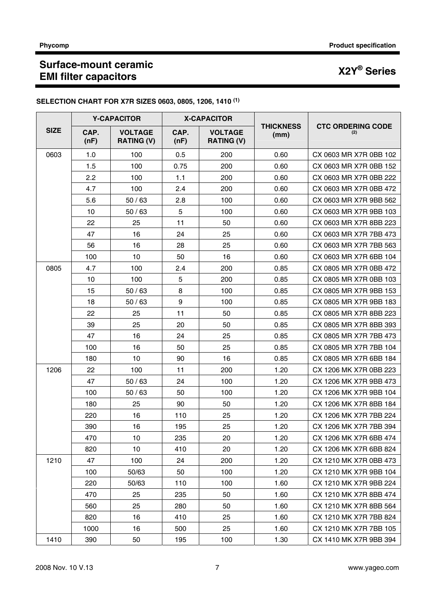| SELECTION CHART FOR X7R SIZES 0603, 0805, 1206, 1410 <sup>(1)</sup> |  |  |
|---------------------------------------------------------------------|--|--|
|                                                                     |  |  |

|             | <b>Y-CAPACITOR</b> |                                     | <b>X-CAPACITOR</b> |                                     |                          |                                 |
|-------------|--------------------|-------------------------------------|--------------------|-------------------------------------|--------------------------|---------------------------------|
| <b>SIZE</b> | CAP.<br>(nF)       | <b>VOLTAGE</b><br><b>RATING (V)</b> | CAP.<br>(nF)       | <b>VOLTAGE</b><br><b>RATING (V)</b> | <b>THICKNESS</b><br>(mm) | <b>CTC ORDERING CODE</b><br>(2) |
| 0603        | 1.0                | 100                                 | 0.5                | 200                                 | 0.60                     | CX 0603 MR X7R 0BB 102          |
|             | 1.5                | 100                                 | 0.75               | 200                                 | 0.60                     | CX 0603 MR X7R 0BB 152          |
|             | 2.2                | 100                                 | 1.1                | 200                                 | 0.60                     | CX 0603 MR X7R 0BB 222          |
|             | 4.7                | 100                                 | 2.4                | 200                                 | 0.60                     | CX 0603 MR X7R 0BB 472          |
|             | 5.6                | 50/63                               | 2.8                | 100                                 | 0.60                     | CX 0603 MR X7R 9BB 562          |
|             | 10                 | 50/63                               | 5                  | 100                                 | 0.60                     | CX 0603 MR X7R 9BB 103          |
|             | 22                 | 25                                  | 11                 | 50                                  | 0.60                     | CX 0603 MR X7R 8BB 223          |
|             | 47                 | 16                                  | 24                 | 25                                  | 0.60                     | CX 0603 MR X7R 7BB 473          |
|             | 56                 | 16                                  | 28                 | 25                                  | 0.60                     | CX 0603 MR X7R 7BB 563          |
|             | 100                | 10                                  | 50                 | 16                                  | 0.60                     | CX 0603 MR X7R 6BB 104          |
| 0805        | 4.7                | 100                                 | 2.4                | 200                                 | 0.85                     | CX 0805 MR X7R 0BB 472          |
|             | 10                 | 100                                 | 5                  | 200                                 | 0.85                     | CX 0805 MR X7R 0BB 103          |
|             | 15                 | 50/63                               | 8                  | 100                                 | 0.85                     | CX 0805 MR X7R 9BB 153          |
|             | 18                 | 50/63                               | 9                  | 100                                 | 0.85                     | CX 0805 MR X7R 9BB 183          |
|             | 22                 | 25                                  | 11                 | 50                                  | 0.85                     | CX 0805 MR X7R 8BB 223          |
|             | 39                 | 25                                  | 20                 | 50                                  | 0.85                     | CX 0805 MR X7R 8BB 393          |
|             | 47                 | 16                                  | 24                 | 25                                  | 0.85                     | CX 0805 MR X7R 7BB 473          |
|             | 100                | 16                                  | 50                 | 25                                  | 0.85                     | CX 0805 MR X7R 7BB 104          |
|             | 180                | 10                                  | 90                 | 16                                  | 0.85                     | CX 0805 MR X7R 6BB 184          |
| 1206        | 22                 | 100                                 | 11                 | 200                                 | 1.20                     | CX 1206 MK X7R 0BB 223          |
|             | 47                 | 50/63                               | 24                 | 100                                 | 1.20                     | CX 1206 MK X7R 9BB 473          |
|             | 100                | 50/63                               | 50                 | 100                                 | 1.20                     | CX 1206 MK X7R 9BB 104          |
|             | 180                | 25                                  | 90                 | 50                                  | 1.20                     | CX 1206 MK X7R 8BB 184          |
|             | 220                | 16                                  | 110                | 25                                  | 1.20                     | CX 1206 MK X7R 7BB 224          |
|             | 390                | 16                                  | 195                | 25                                  | 1.20                     | CX 1206 MK X7R 7BB 394          |
|             | 470                | 10                                  | 235                | 20                                  | 1.20                     | CX 1206 MK X7R 6BB 474          |
|             | 820                | 10                                  | 410                | 20                                  | 1.20                     | CX 1206 MK X7R 6BB 824          |
| 1210        | 47                 | 100                                 | 24                 | 200                                 | 1.20                     | CX 1210 MK X7R 0BB 473          |
|             | 100                | 50/63                               | 50                 | 100                                 | 1.20                     | CX 1210 MK X7R 9BB 104          |
|             | 220                | 50/63                               | 110                | 100                                 | 1.60                     | CX 1210 MK X7R 9BB 224          |
|             | 470                | 25                                  | 235                | 50                                  | 1.60                     | CX 1210 MK X7R 8BB 474          |
|             | 560                | 25                                  | 280                | 50                                  | 1.60                     | CX 1210 MK X7R 8BB 564          |
|             | 820                | 16                                  | 410                | 25                                  | 1.60                     | CX 1210 MK X7R 7BB 824          |
|             | 1000               | 16                                  | 500                | 25                                  | 1.60                     | CX 1210 MK X7R 7BB 105          |
| 1410        | 390                | 50                                  | 195                | 100                                 | 1.30                     | CX 1410 MK X7R 9BB 394          |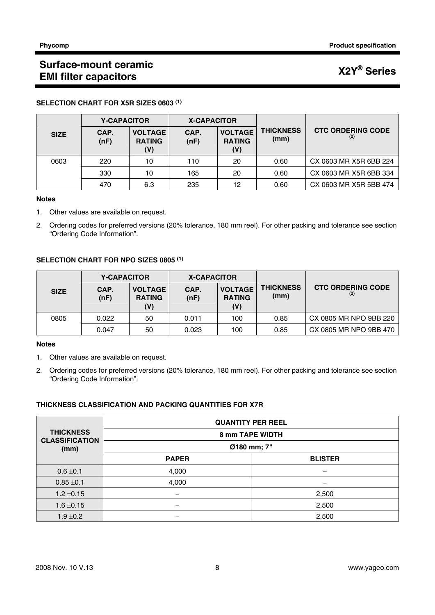|             | <b>Y-CAPACITOR</b> |                                        | <b>X-CAPACITOR</b> |                                        |                          |                                 |
|-------------|--------------------|----------------------------------------|--------------------|----------------------------------------|--------------------------|---------------------------------|
| <b>SIZE</b> | CAP.<br>(nF)       | <b>VOLTAGE</b><br><b>RATING</b><br>(V) | CAP.<br>(nF)       | <b>VOLTAGE</b><br><b>RATING</b><br>(V) | <b>THICKNESS</b><br>(mm) | <b>CTC ORDERING CODE</b><br>(2) |
| 0603        | 220                | 10                                     | 110                | 20                                     | 0.60                     | CX 0603 MR X5R 6BB 224          |
|             | 330                | 10                                     | 165                | 20                                     | 0.60                     | CX 0603 MR X5R 6BB 334          |
|             | 470                | 6.3                                    | 235                | 12                                     | 0.60                     | CX 0603 MR X5R 5BB 474          |

#### **SELECTION CHART FOR X5R SIZES 0603 (1)**

#### **Notes**

- 1. Other values are available on request.
- 2. Ordering codes for preferred versions (20% tolerance, 180 mm reel). For other packing and tolerance see section "Ordering Code Information".

#### **SELECTION CHART FOR NPO SIZES 0805 (1)**

|             | <b>Y-CAPACITOR</b> |                                        | <b>X-CAPACITOR</b> |                                        |                          |                          |
|-------------|--------------------|----------------------------------------|--------------------|----------------------------------------|--------------------------|--------------------------|
| <b>SIZE</b> | CAP.<br>(nF)       | <b>VOLTAGE</b><br><b>RATING</b><br>(V) | CAP.<br>(nF)       | <b>VOLTAGE</b><br><b>RATING</b><br>(V) | <b>THICKNESS</b><br>(mm) | <b>CTC ORDERING CODE</b> |
| 0805        | 0.022              | 50                                     | 0.011              | 100                                    | 0.85                     | CX 0805 MR NPO 9BB 220   |
|             | 0.047              | 50                                     | 0.023              | 100                                    | 0.85                     | CX 0805 MR NPO 9BB 470   |

#### **Notes**

- 1. Other values are available on request.
- 2. Ordering codes for preferred versions (20% tolerance, 180 mm reel). For other packing and tolerance see section "Ordering Code Information".

### **THICKNESS CLASSIFICATION AND PACKING QUANTITIES FOR X7R**

| <b>THICKNESS</b><br><b>CLASSIFICATION</b><br>(mm) | <b>QUANTITY PER REEL</b> |                |  |  |  |
|---------------------------------------------------|--------------------------|----------------|--|--|--|
|                                                   | 8 mm TAPE WIDTH          |                |  |  |  |
|                                                   | Ø180 mm; 7"              |                |  |  |  |
|                                                   | <b>PAPER</b>             | <b>BLISTER</b> |  |  |  |
| $0.6 \pm 0.1$                                     | 4,000                    | –              |  |  |  |
| $0.85 \pm 0.1$                                    | 4,000                    |                |  |  |  |
| $1.2 \pm 0.15$                                    |                          | 2,500          |  |  |  |
| $1.6 \pm 0.15$                                    |                          | 2,500          |  |  |  |
| $1.9 \pm 0.2$                                     |                          | 2,500          |  |  |  |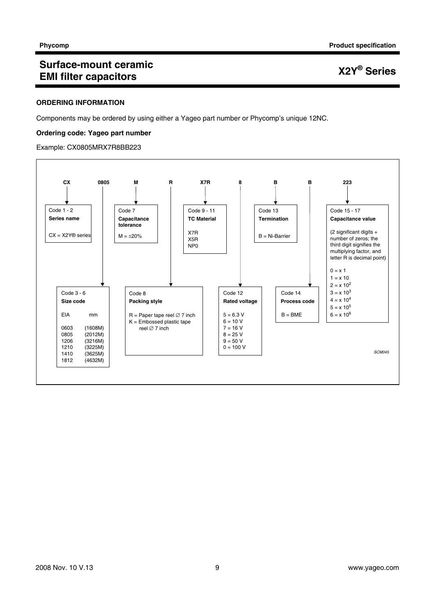#### **ORDERING INFORMATION**

Components may be ordered by using either a Yageo part number or Phycomp's unique 12NC.

#### **Ordering code: Yageo part number**

Example: CX0805MRX7R8BB223

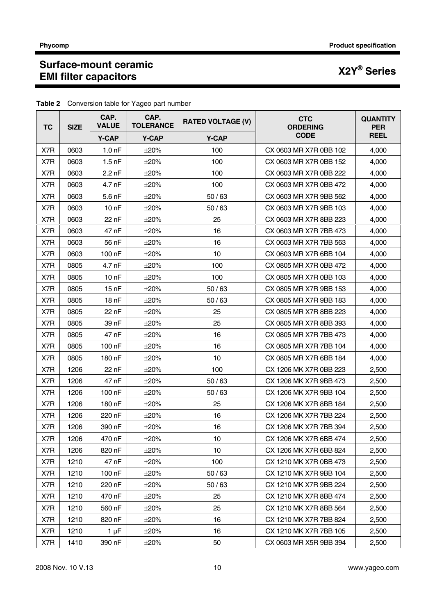| <b>TC</b><br><b>SIZE</b> |      | CAP.<br><b>VALUE</b> | CAP.<br><b>TOLERANCE</b> | <b>RATED VOLTAGE (V)</b> | <b>CTC</b><br><b>ORDERING</b> | <b>QUANTITY</b><br><b>PER</b> |
|--------------------------|------|----------------------|--------------------------|--------------------------|-------------------------------|-------------------------------|
|                          |      | <b>Y-CAP</b>         | <b>Y-CAP</b>             | <b>Y-CAP</b>             | <b>CODE</b>                   | <b>REEL</b>                   |
| X7R                      | 0603 | 1.0 <sub>nP</sub>    | $\pm 20\%$               | 100                      | CX 0603 MR X7R 0BB 102        | 4,000                         |
| X7R                      | 0603 | $1.5$ nF             | $\pm 20\%$               | 100                      | CX 0603 MR X7R 0BB 152        | 4,000                         |
| X7R                      | 0603 | $2.2$ nF             | $\pm 20\%$               | 100                      | CX 0603 MR X7R 0BB 222        | 4,000                         |
| X7R                      | 0603 | 4.7 nF               | $\pm 20\%$               | 100                      | CX 0603 MR X7R 0BB 472        | 4,000                         |
| X7R                      | 0603 | $5.6$ nF             | $\pm 20\%$               | 50/63                    | CX 0603 MR X7R 9BB 562        | 4,000                         |
| X7R                      | 0603 | 10 <sub>nP</sub>     | $\pm 20\%$               | 50/63                    | CX 0603 MR X7R 9BB 103        | 4,000                         |
| X7R                      | 0603 | 22 nF                | $\pm 20\%$               | 25                       | CX 0603 MR X7R 8BB 223        | 4,000                         |
| X7R                      | 0603 | 47 nF                | $\pm 20\%$               | 16                       | CX 0603 MR X7R 7BB 473        | 4,000                         |
| X7R                      | 0603 | 56 nF                | $\pm 20\%$               | 16                       | CX 0603 MR X7R 7BB 563        | 4,000                         |
| X7R                      | 0603 | 100 nF               | $\pm 20\%$               | 10                       | CX 0603 MR X7R 6BB 104        | 4,000                         |
| X7R                      | 0805 | 4.7 nF               | $\pm 20\%$               | 100                      | CX 0805 MR X7R 0BB 472        | 4,000                         |
| X7R                      | 0805 | 10nF                 | $\pm 20\%$               | 100                      | CX 0805 MR X7R 0BB 103        | 4,000                         |
| X7R                      | 0805 | 15 <sub>nF</sub>     | $\pm 20\%$               | 50/63                    | CX 0805 MR X7R 9BB 153        | 4,000                         |
| X7R                      | 0805 | 18 <sub>nF</sub>     | $\pm 20\%$               | 50/63                    | CX 0805 MR X7R 9BB 183        | 4,000                         |
| X7R                      | 0805 | 22 nF                | $\pm 20\%$               | 25                       | CX 0805 MR X7R 8BB 223        | 4.000                         |
| X7R                      | 0805 | 39 nF                | $\pm 20\%$               | 25                       | CX 0805 MR X7R 8BB 393        | 4,000                         |
| X7R                      | 0805 | 47 nF                | $\pm 20\%$               | 16                       | CX 0805 MR X7R 7BB 473        | 4,000                         |
| X7R                      | 0805 | 100 nF               | $\pm 20\%$               | 16                       | CX 0805 MR X7R 7BB 104        | 4,000                         |
| X7R                      | 0805 | 180 nF               | $\pm 20\%$               | 10                       | CX 0805 MR X7R 6BB 184        | 4,000                         |
| X7R                      | 1206 | 22 nF                | $\pm 20\%$               | 100                      | CX 1206 MK X7R 0BB 223        | 2,500                         |
| X7R                      | 1206 | 47 nF                | $\pm 20\%$               | 50/63                    | CX 1206 MK X7R 9BB 473        | 2,500                         |
| X7R                      | 1206 | $100$ nF             | $\pm 20\%$               | 50/63                    | CX 1206 MK X7R 9BB 104        | 2,500                         |
| X7R                      | 1206 | 180 nF               | $\pm 20\%$               | 25                       | CX 1206 MK X7R 8BB 184        | 2,500                         |
| X7R                      | 1206 | 220 nF               | $\pm 20\%$               | 16                       | CX 1206 MK X7R 7BB 224        | 2,500                         |
| X7R                      | 1206 | 390 nF               | $\pm 20\%$               | 16                       | CX 1206 MK X7R 7BB 394        | 2,500                         |
| X7R                      | 1206 | 470 nF               | $\pm 20\%$               | 10                       | CX 1206 MK X7R 6BB 474        | 2,500                         |
| X7R                      | 1206 | 820 nF               | $\pm 20\%$               | 10 <sup>1</sup>          | CX 1206 MK X7R 6BB 824        | 2,500                         |
| X7R                      | 1210 | 47 nF                | $\pm 20\%$               | 100                      | CX 1210 MK X7R 0BB 473        | 2,500                         |
| X7R                      | 1210 | 100 nF               | $\pm 20\%$               | 50/63                    | CX 1210 MK X7R 9BB 104        | 2,500                         |
| X7R                      | 1210 | 220 nF               | $\pm 20\%$               | 50/63                    | CX 1210 MK X7R 9BB 224        | 2,500                         |
| X7R                      | 1210 | 470 nF               | $\pm 20\%$               | 25                       | CX 1210 MK X7R 8BB 474        | 2,500                         |
| X7R                      | 1210 | 560 nF               | $\pm 20\%$               | 25                       | CX 1210 MK X7R 8BB 564        | 2,500                         |
| X7R                      | 1210 | 820 nF               | $\pm 20\%$               | 16                       | CX 1210 MK X7R 7BB 824        | 2,500                         |
| X7R                      | 1210 | $1 \mu F$            | $\pm 20\%$               | 16                       | CX 1210 MK X7R 7BB 105        | 2,500                         |
| X7R                      | 1410 | 390 nF               | $\pm 20\%$               | 50                       | CX 0603 MR X5R 9BB 394        | 2,500                         |

**Table 2** Conversion table for Yageo part number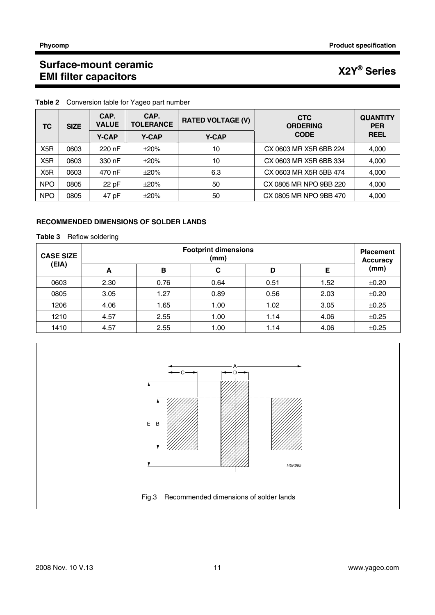| ТC<br><b>SIZE</b> |      | CAP.<br><b>VALUE</b>                         | CAP.<br><b>TOLERANCE</b> | <b>RATED VOLTAGE (V)</b> | <b>CTC</b><br><b>ORDERING</b> | <b>QUANTITY</b><br><b>PER</b> |
|-------------------|------|----------------------------------------------|--------------------------|--------------------------|-------------------------------|-------------------------------|
|                   |      | <b>Y-CAP</b><br><b>Y-CAP</b><br><b>Y-CAP</b> |                          |                          | <b>CODE</b>                   | <b>REEL</b>                   |
| X <sub>5</sub> R  | 0603 | 220 nF                                       | $\pm 20\%$               | 10                       | CX 0603 MR X5R 6BB 224        | 4,000                         |
| X <sub>5</sub> R  | 0603 | 330 nF                                       | $\pm 20\%$               | 10                       | CX 0603 MR X5R 6BB 334        | 4,000                         |
| X <sub>5</sub> R  | 0603 | 470 nF                                       | $\pm 20\%$               | 6.3                      | CX 0603 MR X5R 5BB 474        | 4,000                         |
| <b>NPO</b>        | 0805 | 22 pF                                        | $\pm 20\%$               | 50                       | CX 0805 MR NPO 9BB 220        | 4,000                         |
| <b>NPO</b>        | 0805 | 47 pF                                        | $\pm 20\%$               | 50                       | CX 0805 MR NPO 9BB 470        | 4,000                         |

**Table 2** Conversion table for Yageo part number

### **RECOMMENDED DIMENSIONS OF SOLDER LANDS**

#### **Table 3** Reflow soldering

| <b>CASE SIZE</b> | <b>Footprint dimensions</b><br>(mm) |      |      |      |      | <b>Placement</b><br><b>Accuracy</b> |
|------------------|-------------------------------------|------|------|------|------|-------------------------------------|
| (EIA)            | A                                   | в    | C    | D    | Е    | (mm)                                |
| 0603             | 2.30                                | 0.76 | 0.64 | 0.51 | 1.52 | ±0.20                               |
| 0805             | 3.05                                | 1.27 | 0.89 | 0.56 | 2.03 | ±0.20                               |
| 1206             | 4.06                                | 1.65 | 1.00 | 1.02 | 3.05 | ±0.25                               |
| 1210             | 4.57                                | 2.55 | 1.00 | 1.14 | 4.06 | ±0.25                               |
| 1410             | 4.57                                | 2.55 | 1.00 | 1.14 | 4.06 | ±0.25                               |

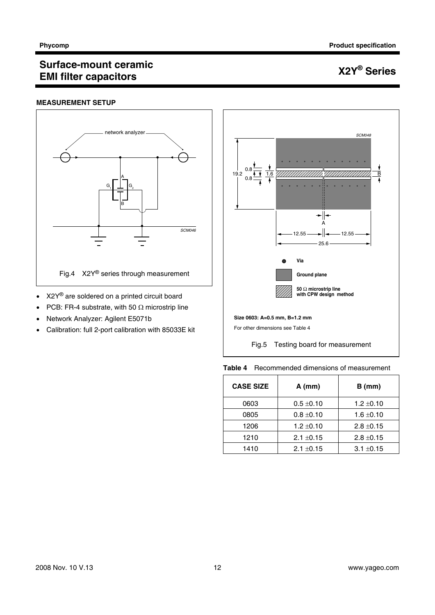#### **MEASUREMENT SETUP**



- X2Y<sup>®</sup> are soldered on a printed circuit board
- PCB: FR-4 substrate, with 50  $\Omega$  microstrip line
- Network Analyzer: Agilent E5071b
- Calibration: full 2-port calibration with 85033E kit



**Table 4** Recommended dimensions of measurement

| <b>CASE SIZE</b> | $A$ (mm)       | $B$ (mm)       |
|------------------|----------------|----------------|
| 0603             | $0.5 \pm 0.10$ | $1.2 \pm 0.10$ |
| 0805             | $0.8 \pm 0.10$ | $1.6 \pm 0.10$ |
| 1206             | $1.2 \pm 0.10$ | $2.8 \pm 0.15$ |
| 1210             | $2.1 \pm 0.15$ | $2.8 \pm 0.15$ |
| 1410             | $2.1 \pm 0.15$ | $3.1 \pm 0.15$ |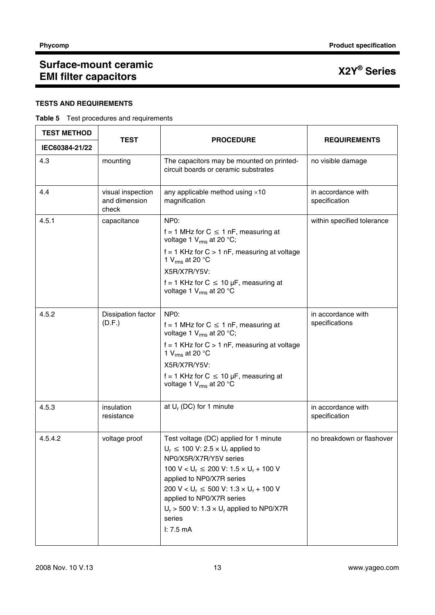### **TESTS AND REQUIREMENTS**

#### **Table 5** Test procedures and requirements

| <b>TEST METHOD</b> | <b>TEST</b>                                 | <b>PROCEDURE</b>                                                                                                                                                                                                                                                                                                                                                                                  | <b>REQUIREMENTS</b>                  |  |
|--------------------|---------------------------------------------|---------------------------------------------------------------------------------------------------------------------------------------------------------------------------------------------------------------------------------------------------------------------------------------------------------------------------------------------------------------------------------------------------|--------------------------------------|--|
| IEC60384-21/22     |                                             |                                                                                                                                                                                                                                                                                                                                                                                                   |                                      |  |
| 4.3                | mounting                                    | The capacitors may be mounted on printed-<br>circuit boards or ceramic substrates                                                                                                                                                                                                                                                                                                                 | no visible damage                    |  |
| 4.4                | visual inspection<br>and dimension<br>check | any applicable method using $\times 10$<br>magnification                                                                                                                                                                                                                                                                                                                                          | in accordance with<br>specification  |  |
| 4.5.1              | capacitance                                 | NP <sub>0</sub> :<br>f = 1 MHz for $C \le 1$ nF, measuring at<br>voltage 1 $V_{rms}$ at 20 °C;                                                                                                                                                                                                                                                                                                    | within specified tolerance           |  |
|                    |                                             | $f = 1$ KHz for $C > 1$ nF, measuring at voltage<br>1 V <sub>rms</sub> at 20 $^{\circ}$ C<br>X5R/X7R/Y5V:                                                                                                                                                                                                                                                                                         |                                      |  |
|                    |                                             | f = 1 KHz for $C \le 10$ µF, measuring at<br>voltage 1 $V_{rms}$ at 20 °C                                                                                                                                                                                                                                                                                                                         |                                      |  |
| 4.5.2              | Dissipation factor<br>(D.F.)                | NP <sub>0</sub> :<br>f = 1 MHz for $C \le 1$ nF, measuring at<br>voltage 1 $V_{rms}$ at 20 °C;                                                                                                                                                                                                                                                                                                    | in accordance with<br>specifications |  |
|                    |                                             | $f = 1$ KHz for $C > 1$ nF, measuring at voltage<br>1 V <sub>rms</sub> at 20 $^{\circ}$ C<br>X5R/X7R/Y5V:                                                                                                                                                                                                                                                                                         |                                      |  |
|                    |                                             | f = 1 KHz for $C \le 10 \mu F$ , measuring at<br>voltage 1 $V_{rms}$ at 20 °C                                                                                                                                                                                                                                                                                                                     |                                      |  |
| 4.5.3              | insulation<br>resistance                    | at $U_r$ (DC) for 1 minute                                                                                                                                                                                                                                                                                                                                                                        | in accordance with<br>specification  |  |
| 4.5.4.2            | voltage proof                               | Test voltage (DC) applied for 1 minute<br>$U_r \le 100$ V: 2.5 $\times$ U <sub>r</sub> applied to<br>NP0/X5R/X7R/Y5V series<br>100 V < $U_r \le 200$ V: 1.5 $\times$ U <sub>r</sub> + 100 V<br>applied to NP0/X7R series<br>200 V < $U_r \le 500$ V: $1.3 \times U_r + 100$ V<br>applied to NP0/X7R series<br>$U_r$ > 500 V: 1.3 $\times$ U <sub>r</sub> applied to NP0/X7R<br>series<br>I: 7.5mA | no breakdown or flashover            |  |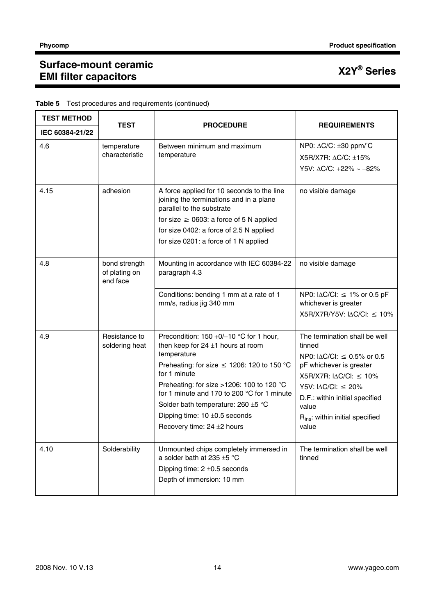| <b>TEST METHOD</b> |                                            |                                                                                                                                                                                                                                                                                                                                                                                  |                                                                                                                                                                                                                                                                                            |
|--------------------|--------------------------------------------|----------------------------------------------------------------------------------------------------------------------------------------------------------------------------------------------------------------------------------------------------------------------------------------------------------------------------------------------------------------------------------|--------------------------------------------------------------------------------------------------------------------------------------------------------------------------------------------------------------------------------------------------------------------------------------------|
| IEC 60384-21/22    | <b>TEST</b>                                | <b>PROCEDURE</b>                                                                                                                                                                                                                                                                                                                                                                 | <b>REQUIREMENTS</b>                                                                                                                                                                                                                                                                        |
| 4.6                | temperature<br>characteristic              | Between minimum and maximum<br>temperature                                                                                                                                                                                                                                                                                                                                       | NP0: $\Delta$ C/C: $\pm$ 30 ppm/°C<br>X5R/X7R: ΔC/C: ±15%<br>Y5V: $\triangle C/C$ : +22% ~ -82%                                                                                                                                                                                            |
| 4.15               | adhesion                                   | A force applied for 10 seconds to the line<br>joining the terminations and in a plane<br>parallel to the substrate<br>for size $\geq$ 0603: a force of 5 N applied<br>for size 0402: a force of 2.5 N applied<br>for size 0201: a force of 1 N applied                                                                                                                           | no visible damage                                                                                                                                                                                                                                                                          |
| 4.8                | bond strength<br>of plating on<br>end face | Mounting in accordance with IEC 60384-22<br>paragraph 4.3                                                                                                                                                                                                                                                                                                                        | no visible damage                                                                                                                                                                                                                                                                          |
|                    |                                            | Conditions: bending 1 mm at a rate of 1<br>mm/s, radius jig 340 mm                                                                                                                                                                                                                                                                                                               | NP0: $ \Delta C/C $ : $\leq 1\%$ or 0.5 pF<br>whichever is greater<br>$X5R/X7R/Y5V$ : $ \Delta C/C $ : $\leq 10\%$                                                                                                                                                                         |
| 4.9                | Resistance to<br>soldering heat            | Precondition: $150 +0/-10$ °C for 1 hour,<br>then keep for $24 \pm 1$ hours at room<br>temperature<br>Preheating: for size $\leq$ 1206: 120 to 150 °C<br>for 1 minute<br>Preheating: for size >1206: 100 to 120 °C<br>for 1 minute and 170 to 200 °C for 1 minute<br>Solder bath temperature: 260 $\pm$ 5 °C<br>Dipping time: $10 \pm 0.5$ seconds<br>Recovery time: 24 ±2 hours | The termination shall be well<br>tinned<br>NP0: $ \Delta C/C $ : $\leq$ 0.5% or 0.5<br>pF whichever is greater<br>$X5R/X7R$ : $ \Delta C/C $ : $\leq 10\%$<br>Y5V: $\triangle C/CI: \leq 20\%$<br>D.F.: within initial specified<br>value<br>$R_{ins}$ : within initial specified<br>value |
| 4.10               | Solderability                              | Unmounted chips completely immersed in<br>a solder bath at 235 $\pm$ 5 °C<br>Dipping time: $2 \pm 0.5$ seconds<br>Depth of immersion: 10 mm                                                                                                                                                                                                                                      | The termination shall be well<br>tinned                                                                                                                                                                                                                                                    |

### **Table 5** Test procedures and requirements (continued)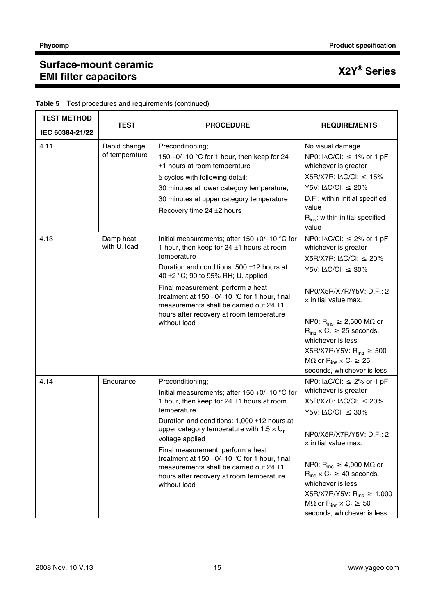| <b>TEST METHOD</b> |                                |                                                                                                                                                                                                                                                                                                                                                                                                                                                                           |                                                                                                                                                                                                                                                                                                                                                                                                                                         |  |
|--------------------|--------------------------------|---------------------------------------------------------------------------------------------------------------------------------------------------------------------------------------------------------------------------------------------------------------------------------------------------------------------------------------------------------------------------------------------------------------------------------------------------------------------------|-----------------------------------------------------------------------------------------------------------------------------------------------------------------------------------------------------------------------------------------------------------------------------------------------------------------------------------------------------------------------------------------------------------------------------------------|--|
| IEC 60384-21/22    | <b>TEST</b>                    | <b>PROCEDURE</b>                                                                                                                                                                                                                                                                                                                                                                                                                                                          | <b>REQUIREMENTS</b>                                                                                                                                                                                                                                                                                                                                                                                                                     |  |
| 4.11               | Rapid change<br>of temperature | Preconditioning;<br>150 +0/-10 °C for 1 hour, then keep for 24<br>$±1$ hours at room temperature<br>5 cycles with following detail:<br>30 minutes at lower category temperature;<br>30 minutes at upper category temperature<br>Recovery time $24 \pm 2$ hours                                                                                                                                                                                                            | No visual damage<br>NP0: $ \Delta C/C $ : $\leq 1\%$ or 1 pF<br>whichever is greater<br>X5R/X7R: I∆C/Cl: ≤ 15%<br>Y5V: $ \triangle C/C $ : $\leq$ 20%<br>D.F.: within initial specified<br>value<br>$R_{ins}$ : within initial specified<br>value                                                                                                                                                                                       |  |
| 4.13               | Damp heat,<br>with $U_r$ load  | Initial measurements; after $150 + 0/-10$ °C for<br>1 hour, then keep for $24 \pm 1$ hours at room<br>temperature<br>Duration and conditions: 500 ±12 hours at<br>40 $\pm$ 2 °C; 90 to 95% RH; U <sub>r</sub> applied<br>Final measurement: perform a heat<br>treatment at $150 + 0/-10$ °C for 1 hour, final<br>measurements shall be carried out $24 \pm 1$<br>hours after recovery at room temperature<br>without load                                                 | NP0: $ \Delta C/C $ : $\leq$ 2% or 1 pF<br>whichever is greater<br>X5R/X7R: $\triangle$ C/Cl: $\leq$ 20%<br>Y5V: $\triangle$ C/Cl: $\leq$ 30%<br>NP0/X5R/X7R/Y5V: D.F.: 2<br>$\times$ initial value max.<br>NP0: $R_{ins} \ge 2,500$ M $\Omega$ or<br>$R_{ins} \times C_r \geq 25$ seconds,<br>whichever is less<br>X5R/X7R/Y5V: $R_{ins} \geq 500$<br>$M\Omega$ or $R_{ins} \times C_r \geq 25$<br>seconds, whichever is less          |  |
| 4.14               | Endurance                      | Preconditioning;<br>Initial measurements; after $150 +0/-10$ °C for<br>1 hour, then keep for $24 \pm 1$ hours at room<br>temperature<br>Duration and conditions: 1,000 ±12 hours at<br>upper category temperature with 1.5 $\times$ U <sub>r</sub><br>voltage applied<br>Final measurement: perform a heat<br>treatment at $150 + 0/-10$ °C for 1 hour, final<br>measurements shall be carried out $24 \pm 1$<br>hours after recovery at room temperature<br>without load | NP0: $ \Delta C/C $ : $\leq$ 2% or 1 pF<br>whichever is greater<br>$X5R/X7R$ : $ \Delta C/C $ : $\leq$ 20%<br>Y5V: $ \Delta C/C $ : $\leq 30\%$<br>NP0/X5R/X7R/Y5V: D.F.: 2<br>$\times$ initial value max.<br>NP0: $R_{ins} \geq 4,000$ M $\Omega$ or<br>$R_{ins} \times C_r \geq 40$ seconds,<br>whichever is less<br>X5R/X7R/Y5V: R <sub>ins</sub> ≥ 1,000<br>$M\Omega$ or $R_{ins} \times C_r \geq 50$<br>seconds, whichever is less |  |

### **Table 5** Test procedures and requirements (continued)